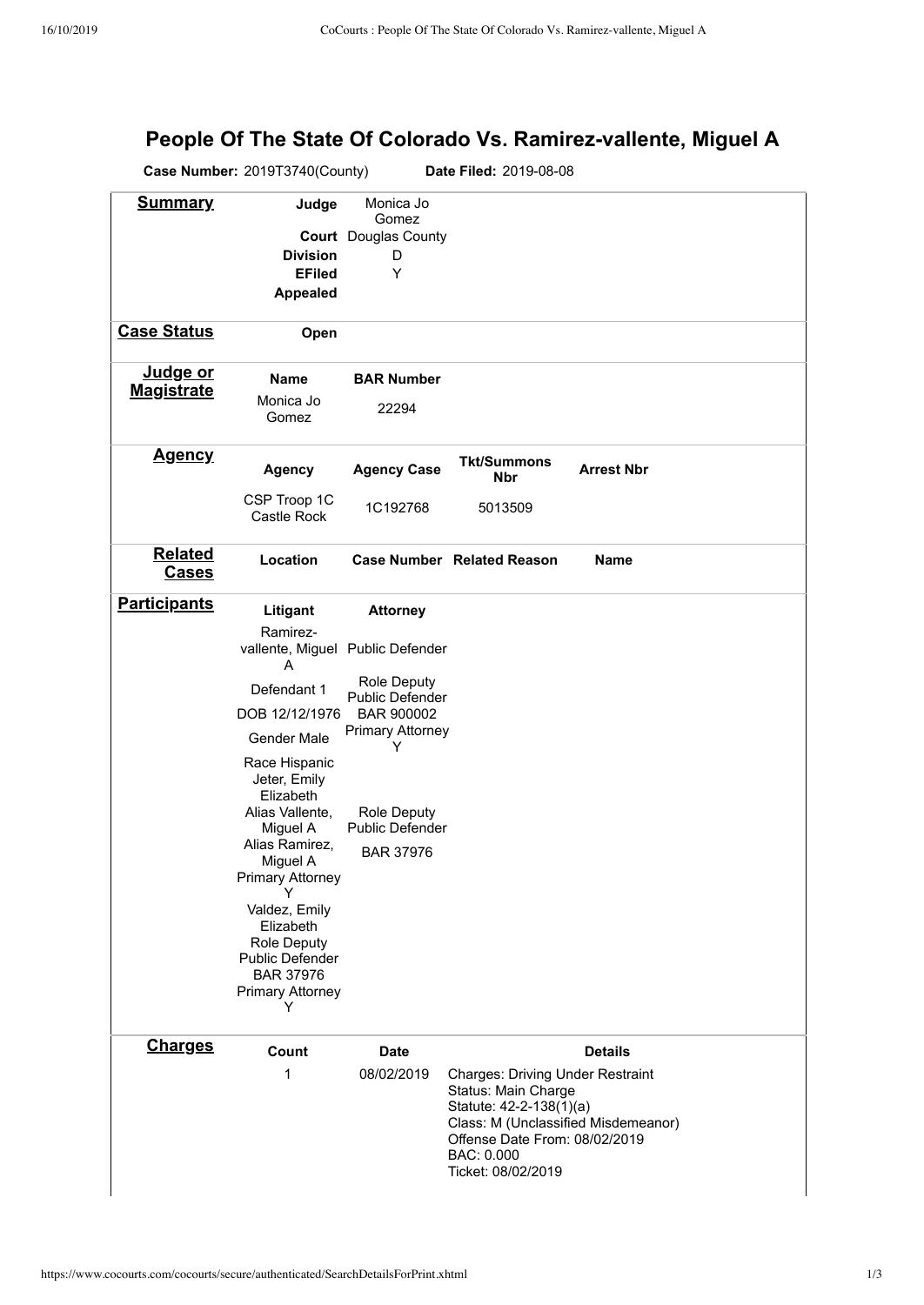## **People Of The State Of Colorado Vs. Ramirez-vallente, Miguel A**

|                                                                      | Case Number: 2019T3740(County)<br>Date Filed: 2019-08-08 |                                                   |                                                                                           |                   |  |  |  |
|----------------------------------------------------------------------|----------------------------------------------------------|---------------------------------------------------|-------------------------------------------------------------------------------------------|-------------------|--|--|--|
| <b>Summary</b>                                                       | Judge                                                    | Monica Jo<br>Gomez<br><b>Court</b> Douglas County |                                                                                           |                   |  |  |  |
|                                                                      | <b>Division</b>                                          | D                                                 |                                                                                           |                   |  |  |  |
|                                                                      | <b>EFiled</b>                                            | Y                                                 |                                                                                           |                   |  |  |  |
|                                                                      | <b>Appealed</b>                                          |                                                   |                                                                                           |                   |  |  |  |
|                                                                      |                                                          |                                                   |                                                                                           |                   |  |  |  |
| <b>Case Status</b>                                                   | Open                                                     |                                                   |                                                                                           |                   |  |  |  |
| Judge or<br><b>Magistrate</b>                                        | <b>Name</b>                                              | <b>BAR Number</b>                                 |                                                                                           |                   |  |  |  |
|                                                                      | Monica Jo<br>Gomez                                       | 22294                                             |                                                                                           |                   |  |  |  |
| <u>Agency</u>                                                        | <b>Agency</b>                                            | <b>Agency Case</b>                                | <b>Tkt/Summons</b><br>Nbr                                                                 | <b>Arrest Nbr</b> |  |  |  |
|                                                                      | CSP Troop 1C<br>Castle Rock                              | 1C192768                                          | 5013509                                                                                   |                   |  |  |  |
| <b>Related</b><br><b>Cases</b>                                       | Location                                                 |                                                   | <b>Case Number Related Reason</b>                                                         | <b>Name</b>       |  |  |  |
| <b>Participants</b>                                                  | Litigant                                                 | <b>Attorney</b>                                   |                                                                                           |                   |  |  |  |
|                                                                      | Ramirez-<br>A                                            | vallente, Miguel Public Defender                  |                                                                                           |                   |  |  |  |
|                                                                      | Defendant 1                                              | <b>Role Deputy</b>                                |                                                                                           |                   |  |  |  |
|                                                                      | DOB 12/12/1976                                           | Public Defender<br>BAR 900002                     |                                                                                           |                   |  |  |  |
|                                                                      |                                                          | <b>Primary Attorney</b>                           |                                                                                           |                   |  |  |  |
|                                                                      | Gender Male                                              | Y                                                 |                                                                                           |                   |  |  |  |
|                                                                      | Race Hispanic                                            |                                                   |                                                                                           |                   |  |  |  |
|                                                                      | Jeter, Emily<br>Elizabeth                                |                                                   |                                                                                           |                   |  |  |  |
|                                                                      | Alias Vallente,                                          | <b>Role Deputy</b>                                |                                                                                           |                   |  |  |  |
|                                                                      | Miguel A                                                 | <b>Public Defender</b>                            |                                                                                           |                   |  |  |  |
|                                                                      | Alias Ramirez,<br>Miguel A                               | BAR 37976                                         |                                                                                           |                   |  |  |  |
|                                                                      | <b>Primary Attorney</b>                                  |                                                   |                                                                                           |                   |  |  |  |
|                                                                      | Y                                                        |                                                   |                                                                                           |                   |  |  |  |
|                                                                      | Valdez, Emily<br>Elizabeth                               |                                                   |                                                                                           |                   |  |  |  |
|                                                                      | <b>Role Deputy</b>                                       |                                                   |                                                                                           |                   |  |  |  |
|                                                                      | Public Defender                                          |                                                   |                                                                                           |                   |  |  |  |
|                                                                      | <b>BAR 37976</b>                                         |                                                   |                                                                                           |                   |  |  |  |
|                                                                      | <b>Primary Attorney</b><br>Y                             |                                                   |                                                                                           |                   |  |  |  |
| <b>Charges</b>                                                       | Count                                                    | <b>Date</b>                                       |                                                                                           | <b>Details</b>    |  |  |  |
|                                                                      | 1                                                        | 08/02/2019                                        |                                                                                           |                   |  |  |  |
|                                                                      |                                                          |                                                   | <b>Charges: Driving Under Restraint</b><br>Status: Main Charge<br>Statute: 42-2-138(1)(a) |                   |  |  |  |
| Class: M (Unclassified Misdemeanor)<br>Offense Date From: 08/02/2019 |                                                          |                                                   |                                                                                           |                   |  |  |  |
|                                                                      |                                                          |                                                   | BAC: 0.000<br>Ticket: 08/02/2019                                                          |                   |  |  |  |
|                                                                      |                                                          |                                                   |                                                                                           |                   |  |  |  |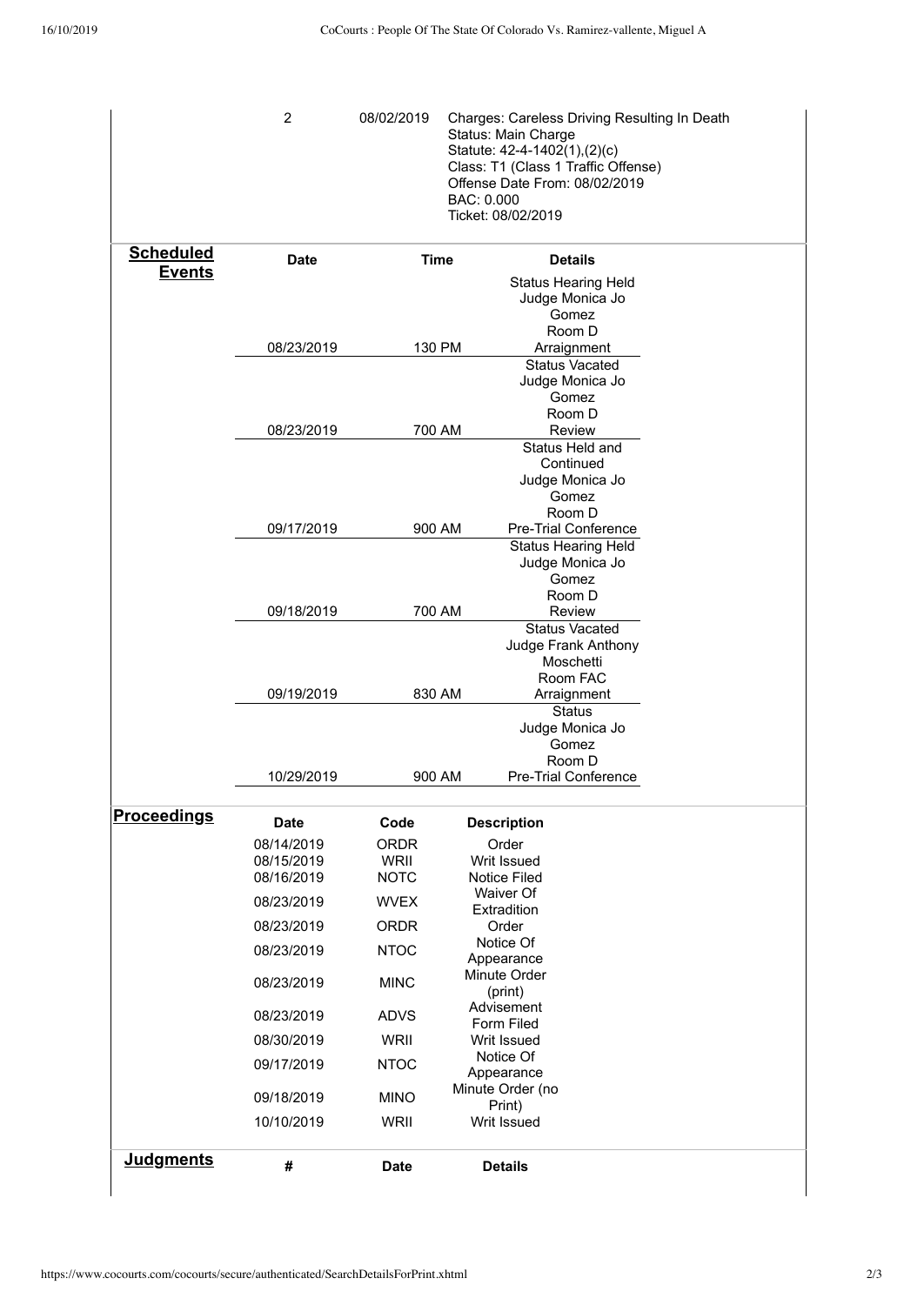|                    | $\overline{2}$                         | 08/02/2019                         | BAC: 0.000 | Charges: Careless Driving Resulting In Death<br>Status: Main Charge<br>Statute: 42-4-1402(1),(2)(c)<br>Class: T1 (Class 1 Traffic Offense)<br>Offense Date From: 08/02/2019<br>Ticket: 08/02/2019 |  |
|--------------------|----------------------------------------|------------------------------------|------------|---------------------------------------------------------------------------------------------------------------------------------------------------------------------------------------------------|--|
| <b>Scheduled</b>   | <b>Date</b>                            | Time                               |            | <b>Details</b>                                                                                                                                                                                    |  |
| <b>Events</b>      |                                        |                                    |            | <b>Status Hearing Held</b><br>Judge Monica Jo<br>Gomez<br>Room D                                                                                                                                  |  |
|                    | 08/23/2019                             | 130 PM                             |            | Arraignment                                                                                                                                                                                       |  |
|                    |                                        |                                    |            | <b>Status Vacated</b><br>Judge Monica Jo<br>Gomez                                                                                                                                                 |  |
|                    | 08/23/2019                             | 700 AM                             |            | Room D<br>Review                                                                                                                                                                                  |  |
|                    |                                        |                                    |            | Status Held and<br>Continued                                                                                                                                                                      |  |
|                    |                                        |                                    |            | Judge Monica Jo<br>Gomez<br>Room D                                                                                                                                                                |  |
|                    | 09/17/2019                             | 900 AM                             |            | Pre-Trial Conference                                                                                                                                                                              |  |
|                    |                                        |                                    |            | Status Hearing Held<br>Judge Monica Jo<br>Gomez                                                                                                                                                   |  |
|                    | 09/18/2019                             | 700 AM                             |            | Room D<br>Review                                                                                                                                                                                  |  |
|                    |                                        |                                    |            | <b>Status Vacated</b><br>Judge Frank Anthony<br>Moschetti<br>Room FAC                                                                                                                             |  |
|                    | 09/19/2019                             | 830 AM                             |            | Arraignment<br><b>Status</b>                                                                                                                                                                      |  |
|                    |                                        |                                    |            | Judge Monica Jo<br>Gomez<br>Room D                                                                                                                                                                |  |
|                    | 10/29/2019                             | 900 AM                             |            | Pre-Trial Conference                                                                                                                                                                              |  |
| <b>Proceedings</b> | <b>Date</b>                            | Code                               |            | <b>Description</b>                                                                                                                                                                                |  |
|                    | 08/14/2019<br>08/15/2019<br>08/16/2019 | <b>ORDR</b><br>WRII<br><b>NOTC</b> |            | Order<br>Writ Issued<br>Notice Filed                                                                                                                                                              |  |
|                    | 08/23/2019                             | <b>WVEX</b>                        |            | Waiver Of<br>Extradition                                                                                                                                                                          |  |
|                    | 08/23/2019                             | <b>ORDR</b>                        |            | Order<br>Notice Of                                                                                                                                                                                |  |
|                    | 08/23/2019                             | <b>NTOC</b>                        |            | Appearance                                                                                                                                                                                        |  |
|                    | 08/23/2019                             | <b>MINC</b>                        |            | Minute Order<br>(print)                                                                                                                                                                           |  |
|                    | 08/23/2019                             | <b>ADVS</b>                        |            | Advisement<br>Form Filed                                                                                                                                                                          |  |
|                    | 08/30/2019                             | WRII<br>Writ Issued                |            |                                                                                                                                                                                                   |  |
|                    | 09/17/2019                             | <b>NTOC</b>                        |            | Notice Of<br>Appearance                                                                                                                                                                           |  |
|                    | 09/18/2019                             | <b>MINO</b>                        |            | Minute Order (no<br>Print)                                                                                                                                                                        |  |
|                    | 10/10/2019                             | WRII                               |            | Writ Issued                                                                                                                                                                                       |  |
| <b>Judgments</b>   | #                                      | <b>Date</b>                        |            | <b>Details</b>                                                                                                                                                                                    |  |